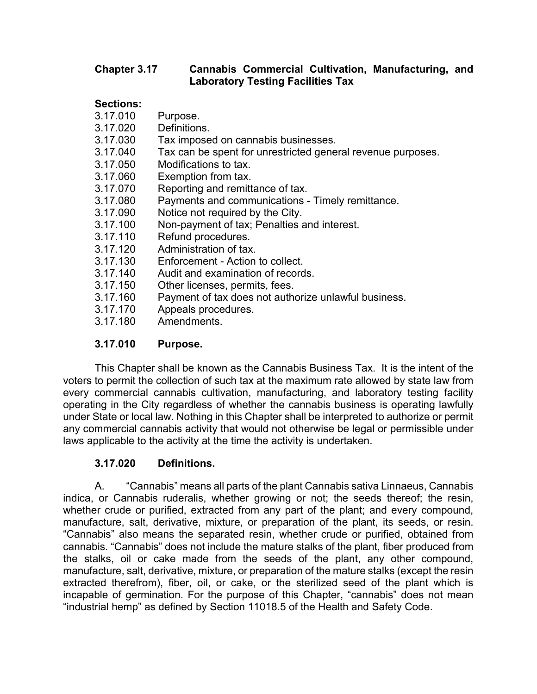### **Chapter 3.17 Cannabis Commercial Cultivation, Manufacturing, and Laboratory Testing Facilities Tax**

### **Sections:**

- 3.17.010 Purpose.
- 3.17.020 Definitions.
- 3.17.030 Tax imposed on cannabis businesses.
- 3.17.040 Tax can be spent for unrestricted general revenue purposes.
- 3.17.050 Modifications to tax.
- 3.17.060 Exemption from tax.
- 3.17.070 Reporting and remittance of tax.
- 3.17.080 Payments and communications Timely remittance.
- 3.17.090 Notice not required by the City.
- 3.17.100 Non-payment of tax; Penalties and interest.
- 3.17.110 Refund procedures.
- 3.17.120 Administration of tax.
- 3.17.130 Enforcement Action to collect.
- 3.17.140 Audit and examination of records.
- 3.17.150 Other licenses, permits, fees.
- 3.17.160 Payment of tax does not authorize unlawful business.
- 3.17.170 Appeals procedures.
- 3.17.180 Amendments.

## **3.17.010 Purpose.**

 This Chapter shall be known as the Cannabis Business Tax. It is the intent of the voters to permit the collection of such tax at the maximum rate allowed by state law from every commercial cannabis cultivation, manufacturing, and laboratory testing facility operating in the City regardless of whether the cannabis business is operating lawfully under State or local law. Nothing in this Chapter shall be interpreted to authorize or permit any commercial cannabis activity that would not otherwise be legal or permissible under laws applicable to the activity at the time the activity is undertaken.

## **3.17.020 Definitions.**

A. "Cannabis" means all parts of the plant Cannabis sativa Linnaeus, Cannabis indica, or Cannabis ruderalis, whether growing or not; the seeds thereof; the resin, whether crude or purified, extracted from any part of the plant; and every compound, manufacture, salt, derivative, mixture, or preparation of the plant, its seeds, or resin. "Cannabis" also means the separated resin, whether crude or purified, obtained from cannabis. "Cannabis" does not include the mature stalks of the plant, fiber produced from the stalks, oil or cake made from the seeds of the plant, any other compound, manufacture, salt, derivative, mixture, or preparation of the mature stalks (except the resin extracted therefrom), fiber, oil, or cake, or the sterilized seed of the plant which is incapable of germination. For the purpose of this Chapter, "cannabis" does not mean "industrial hemp" as defined by Section 11018.5 of the Health and Safety Code.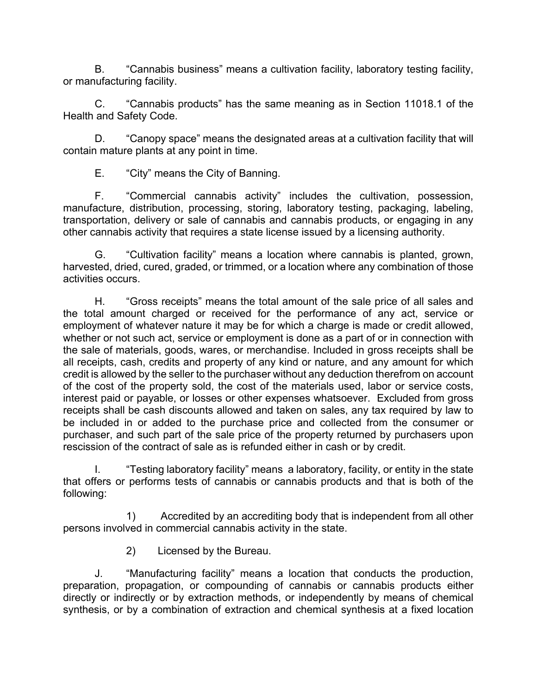B. "Cannabis business" means a cultivation facility, laboratory testing facility, or manufacturing facility.

C. "Cannabis products" has the same meaning as in Section 11018.1 of the Health and Safety Code.

D. "Canopy space" means the designated areas at a cultivation facility that will contain mature plants at any point in time.

E. "City" means the City of Banning.

F. "Commercial cannabis activity" includes the cultivation, possession, manufacture, distribution, processing, storing, laboratory testing, packaging, labeling, transportation, delivery or sale of cannabis and cannabis products, or engaging in any other cannabis activity that requires a state license issued by a licensing authority.

G. "Cultivation facility" means a location where cannabis is planted, grown, harvested, dried, cured, graded, or trimmed, or a location where any combination of those activities occurs.

H. "Gross receipts" means the total amount of the sale price of all sales and the total amount charged or received for the performance of any act, service or employment of whatever nature it may be for which a charge is made or credit allowed, whether or not such act, service or employment is done as a part of or in connection with the sale of materials, goods, wares, or merchandise. Included in gross receipts shall be all receipts, cash, credits and property of any kind or nature, and any amount for which credit is allowed by the seller to the purchaser without any deduction therefrom on account of the cost of the property sold, the cost of the materials used, labor or service costs, interest paid or payable, or losses or other expenses whatsoever. Excluded from gross receipts shall be cash discounts allowed and taken on sales, any tax required by law to be included in or added to the purchase price and collected from the consumer or purchaser, and such part of the sale price of the property returned by purchasers upon rescission of the contract of sale as is refunded either in cash or by credit.

I. "Testing laboratory facility" means a laboratory, facility, or entity in the state that offers or performs tests of cannabis or cannabis products and that is both of the following:

1) Accredited by an accrediting body that is independent from all other persons involved in commercial cannabis activity in the state.

2) Licensed by the Bureau.

J. "Manufacturing facility" means a location that conducts the production, preparation, propagation, or compounding of cannabis or cannabis products either directly or indirectly or by extraction methods, or independently by means of chemical synthesis, or by a combination of extraction and chemical synthesis at a fixed location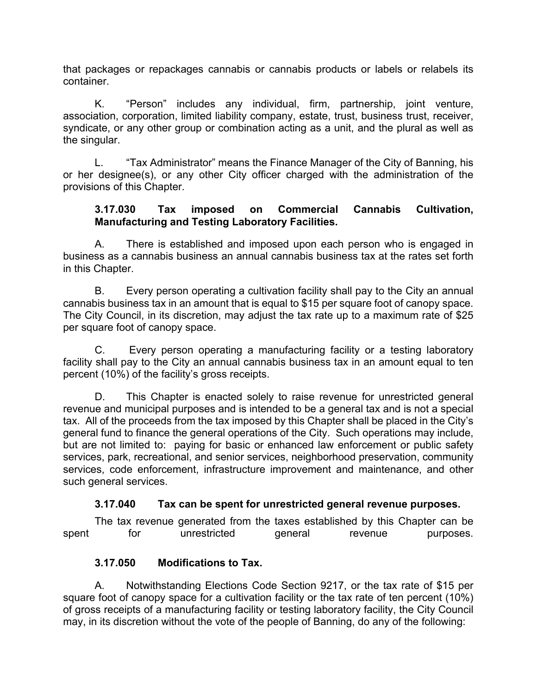that packages or repackages cannabis or cannabis products or labels or relabels its container.

K. "Person" includes any individual, firm, partnership, joint venture, association, corporation, limited liability company, estate, trust, business trust, receiver, syndicate, or any other group or combination acting as a unit, and the plural as well as the singular.

L. "Tax Administrator" means the Finance Manager of the City of Banning, his or her designee(s), or any other City officer charged with the administration of the provisions of this Chapter.

### **3.17.030 Tax imposed on Commercial Cannabis Cultivation, Manufacturing and Testing Laboratory Facilities.**

A. There is established and imposed upon each person who is engaged in business as a cannabis business an annual cannabis business tax at the rates set forth in this Chapter.

B. Every person operating a cultivation facility shall pay to the City an annual cannabis business tax in an amount that is equal to \$15 per square foot of canopy space. The City Council, in its discretion, may adjust the tax rate up to a maximum rate of \$25 per square foot of canopy space.

C. Every person operating a manufacturing facility or a testing laboratory facility shall pay to the City an annual cannabis business tax in an amount equal to ten percent (10%) of the facility's gross receipts.

D. This Chapter is enacted solely to raise revenue for unrestricted general revenue and municipal purposes and is intended to be a general tax and is not a special tax. All of the proceeds from the tax imposed by this Chapter shall be placed in the City's general fund to finance the general operations of the City. Such operations may include, but are not limited to: paying for basic or enhanced law enforcement or public safety services, park, recreational, and senior services, neighborhood preservation, community services, code enforcement, infrastructure improvement and maintenance, and other such general services.

## **3.17.040 Tax can be spent for unrestricted general revenue purposes.**

The tax revenue generated from the taxes established by this Chapter can be spent for unrestricted general revenue purposes.

## **3.17.050 Modifications to Tax.**

A. Notwithstanding Elections Code Section 9217, or the tax rate of \$15 per square foot of canopy space for a cultivation facility or the tax rate of ten percent (10%) of gross receipts of a manufacturing facility or testing laboratory facility, the City Council may, in its discretion without the vote of the people of Banning, do any of the following: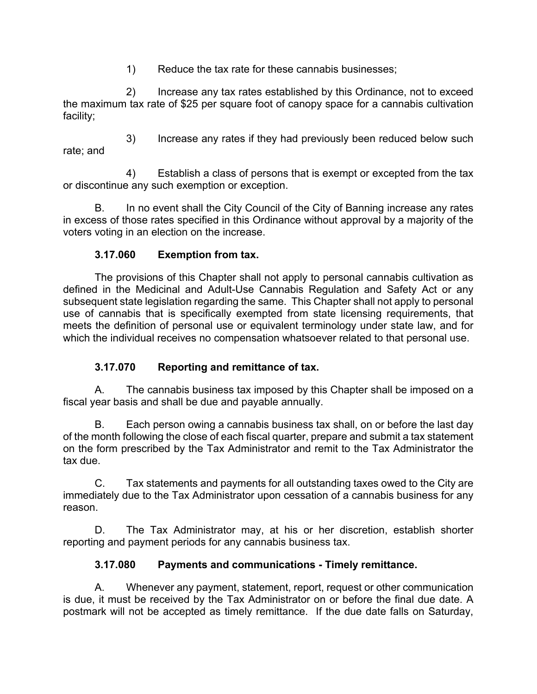1) Reduce the tax rate for these cannabis businesses;

2) Increase any tax rates established by this Ordinance, not to exceed the maximum tax rate of \$25 per square foot of canopy space for a cannabis cultivation facility;

3) Increase any rates if they had previously been reduced below such rate; and

4) Establish a class of persons that is exempt or excepted from the tax or discontinue any such exemption or exception.

B. In no event shall the City Council of the City of Banning increase any rates in excess of those rates specified in this Ordinance without approval by a majority of the voters voting in an election on the increase.

# **3.17.060 Exemption from tax.**

 The provisions of this Chapter shall not apply to personal cannabis cultivation as defined in the Medicinal and Adult-Use Cannabis Regulation and Safety Act or any subsequent state legislation regarding the same. This Chapter shall not apply to personal use of cannabis that is specifically exempted from state licensing requirements, that meets the definition of personal use or equivalent terminology under state law, and for which the individual receives no compensation whatsoever related to that personal use.

## **3.17.070 Reporting and remittance of tax.**

A. The cannabis business tax imposed by this Chapter shall be imposed on a fiscal year basis and shall be due and payable annually.

B. Each person owing a cannabis business tax shall, on or before the last day of the month following the close of each fiscal quarter, prepare and submit a tax statement on the form prescribed by the Tax Administrator and remit to the Tax Administrator the tax due.

C. Tax statements and payments for all outstanding taxes owed to the City are immediately due to the Tax Administrator upon cessation of a cannabis business for any reason.

D. The Tax Administrator may, at his or her discretion, establish shorter reporting and payment periods for any cannabis business tax.

## **3.17.080 Payments and communications - Timely remittance.**

A. Whenever any payment, statement, report, request or other communication is due, it must be received by the Tax Administrator on or before the final due date. A postmark will not be accepted as timely remittance. If the due date falls on Saturday,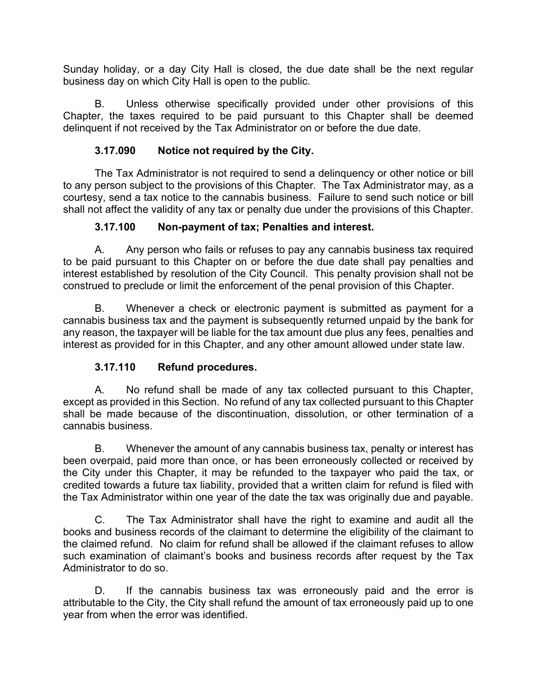Sunday holiday, or a day City Hall is closed, the due date shall be the next regular business day on which City Hall is open to the public.

B. Unless otherwise specifically provided under other provisions of this Chapter, the taxes required to be paid pursuant to this Chapter shall be deemed delinquent if not received by the Tax Administrator on or before the due date.

## **3.17.090 Notice not required by the City.**

 The Tax Administrator is not required to send a delinquency or other notice or bill to any person subject to the provisions of this Chapter. The Tax Administrator may, as a courtesy, send a tax notice to the cannabis business. Failure to send such notice or bill shall not affect the validity of any tax or penalty due under the provisions of this Chapter.

## **3.17.100 Non-payment of tax; Penalties and interest.**

A. Any person who fails or refuses to pay any cannabis business tax required to be paid pursuant to this Chapter on or before the due date shall pay penalties and interest established by resolution of the City Council. This penalty provision shall not be construed to preclude or limit the enforcement of the penal provision of this Chapter.

B. Whenever a check or electronic payment is submitted as payment for a cannabis business tax and the payment is subsequently returned unpaid by the bank for any reason, the taxpayer will be liable for the tax amount due plus any fees, penalties and interest as provided for in this Chapter, and any other amount allowed under state law.

## **3.17.110 Refund procedures.**

A. No refund shall be made of any tax collected pursuant to this Chapter, except as provided in this Section. No refund of any tax collected pursuant to this Chapter shall be made because of the discontinuation, dissolution, or other termination of a cannabis business.

B. Whenever the amount of any cannabis business tax, penalty or interest has been overpaid, paid more than once, or has been erroneously collected or received by the City under this Chapter, it may be refunded to the taxpayer who paid the tax, or credited towards a future tax liability, provided that a written claim for refund is filed with the Tax Administrator within one year of the date the tax was originally due and payable.

C. The Tax Administrator shall have the right to examine and audit all the books and business records of the claimant to determine the eligibility of the claimant to the claimed refund. No claim for refund shall be allowed if the claimant refuses to allow such examination of claimant's books and business records after request by the Tax Administrator to do so.

D. If the cannabis business tax was erroneously paid and the error is attributable to the City, the City shall refund the amount of tax erroneously paid up to one year from when the error was identified.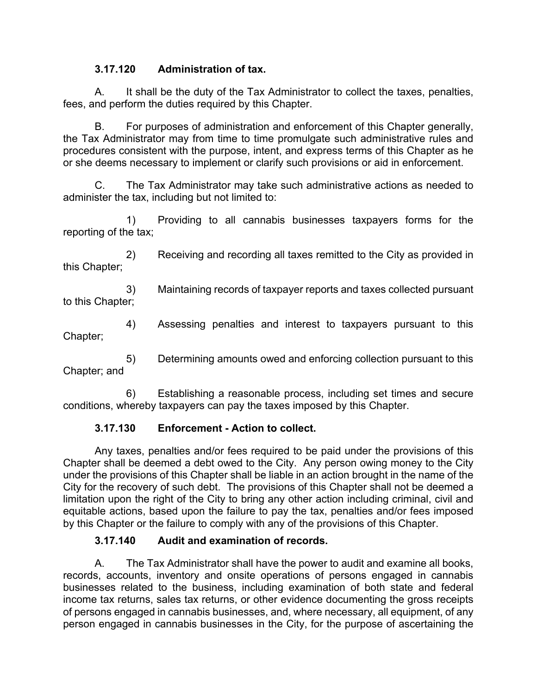### **3.17.120 Administration of tax.**

A. It shall be the duty of the Tax Administrator to collect the taxes, penalties, fees, and perform the duties required by this Chapter.

B. For purposes of administration and enforcement of this Chapter generally, the Tax Administrator may from time to time promulgate such administrative rules and procedures consistent with the purpose, intent, and express terms of this Chapter as he or she deems necessary to implement or clarify such provisions or aid in enforcement.

C. The Tax Administrator may take such administrative actions as needed to administer the tax, including but not limited to:

1) Providing to all cannabis businesses taxpayers forms for the reporting of the tax;

2) Receiving and recording all taxes remitted to the City as provided in this Chapter;

3) Maintaining records of taxpayer reports and taxes collected pursuant to this Chapter;

4) Assessing penalties and interest to taxpayers pursuant to this Chapter;

5) Determining amounts owed and enforcing collection pursuant to this Chapter; and

6) Establishing a reasonable process, including set times and secure conditions, whereby taxpayers can pay the taxes imposed by this Chapter.

## **3.17.130 Enforcement - Action to collect.**

 Any taxes, penalties and/or fees required to be paid under the provisions of this Chapter shall be deemed a debt owed to the City. Any person owing money to the City under the provisions of this Chapter shall be liable in an action brought in the name of the City for the recovery of such debt. The provisions of this Chapter shall not be deemed a limitation upon the right of the City to bring any other action including criminal, civil and equitable actions, based upon the failure to pay the tax, penalties and/or fees imposed by this Chapter or the failure to comply with any of the provisions of this Chapter.

### **3.17.140 Audit and examination of records.**

A. The Tax Administrator shall have the power to audit and examine all books, records, accounts, inventory and onsite operations of persons engaged in cannabis businesses related to the business, including examination of both state and federal income tax returns, sales tax returns, or other evidence documenting the gross receipts of persons engaged in cannabis businesses, and, where necessary, all equipment, of any person engaged in cannabis businesses in the City, for the purpose of ascertaining the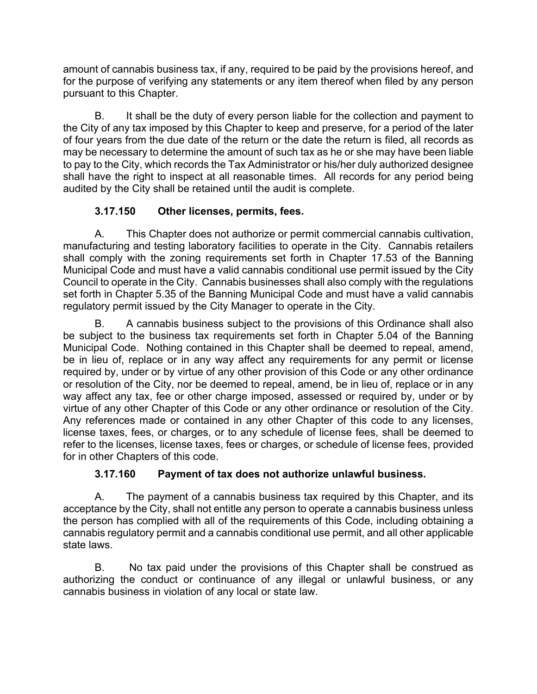amount of cannabis business tax, if any, required to be paid by the provisions hereof, and for the purpose of verifying any statements or any item thereof when filed by any person pursuant to this Chapter.

B. It shall be the duty of every person liable for the collection and payment to the City of any tax imposed by this Chapter to keep and preserve, for a period of the later of four years from the due date of the return or the date the return is filed, all records as may be necessary to determine the amount of such tax as he or she may have been liable to pay to the City, which records the Tax Administrator or his/her duly authorized designee shall have the right to inspect at all reasonable times. All records for any period being audited by the City shall be retained until the audit is complete.

# **3.17.150 Other licenses, permits, fees.**

 A. This Chapter does not authorize or permit commercial cannabis cultivation, manufacturing and testing laboratory facilities to operate in the City. Cannabis retailers shall comply with the zoning requirements set forth in Chapter 17.53 of the Banning Municipal Code and must have a valid cannabis conditional use permit issued by the City Council to operate in the City. Cannabis businesses shall also comply with the regulations set forth in Chapter 5.35 of the Banning Municipal Code and must have a valid cannabis regulatory permit issued by the City Manager to operate in the City.

 B. A cannabis business subject to the provisions of this Ordinance shall also be subject to the business tax requirements set forth in Chapter 5.04 of the Banning Municipal Code. Nothing contained in this Chapter shall be deemed to repeal, amend, be in lieu of, replace or in any way affect any requirements for any permit or license required by, under or by virtue of any other provision of this Code or any other ordinance or resolution of the City, nor be deemed to repeal, amend, be in lieu of, replace or in any way affect any tax, fee or other charge imposed, assessed or required by, under or by virtue of any other Chapter of this Code or any other ordinance or resolution of the City. Any references made or contained in any other Chapter of this code to any licenses, license taxes, fees, or charges, or to any schedule of license fees, shall be deemed to refer to the licenses, license taxes, fees or charges, or schedule of license fees, provided for in other Chapters of this code.

## **3.17.160 Payment of tax does not authorize unlawful business.**

A. The payment of a cannabis business tax required by this Chapter, and its acceptance by the City, shall not entitle any person to operate a cannabis business unless the person has complied with all of the requirements of this Code, including obtaining a cannabis regulatory permit and a cannabis conditional use permit, and all other applicable state laws.

B. No tax paid under the provisions of this Chapter shall be construed as authorizing the conduct or continuance of any illegal or unlawful business, or any cannabis business in violation of any local or state law.